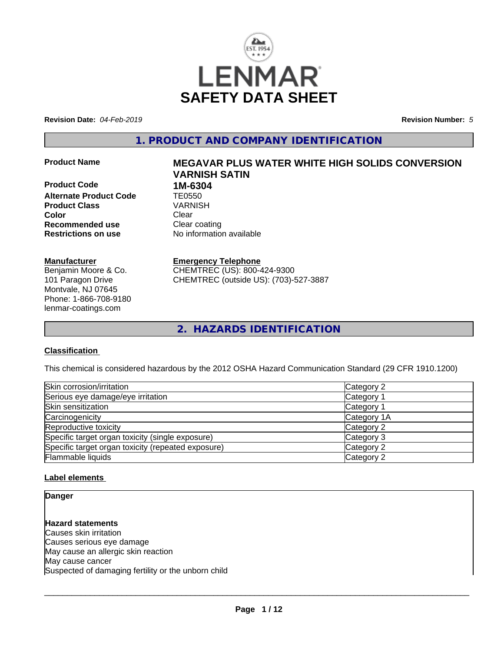

**Revision Date:** *04-Feb-2019* **Revision Number:** *5*

**1. PRODUCT AND COMPANY IDENTIFICATION**

**Product Code 1M-6304 Alternate Product Code TE0550**<br> **Product Class** VARNISH **Product Class Color** Clear Clear **Recommended use** Clear coating **Restrictions on use** No information available

#### **Manufacturer**

Benjamin Moore & Co. 101 Paragon Drive Montvale, NJ 07645 Phone: 1-866-708-9180 lenmar-coatings.com

# **Product Name MEGAVAR PLUS WATER WHITE HIGH SOLIDS CONVERSION VARNISH SATIN**

**Emergency Telephone** CHEMTREC (US): 800-424-9300

CHEMTREC (outside US): (703)-527-3887

**2. HAZARDS IDENTIFICATION**

#### **Classification**

This chemical is considered hazardous by the 2012 OSHA Hazard Communication Standard (29 CFR 1910.1200)

| Skin corrosion/irritation                          | Category 2  |
|----------------------------------------------------|-------------|
| Serious eye damage/eye irritation                  | Category 1  |
| Skin sensitization                                 | Category 1  |
| Carcinogenicity                                    | Category 1A |
| Reproductive toxicity                              | Category 2  |
| Specific target organ toxicity (single exposure)   | Category 3  |
| Specific target organ toxicity (repeated exposure) | Category 2  |
| Flammable liquids                                  | Category 2  |

#### **Label elements**

**Danger**

**Hazard statements** Causes skin irritation Causes serious eye damage May cause an allergic skin reaction May cause cancer Suspected of damaging fertility or the unborn child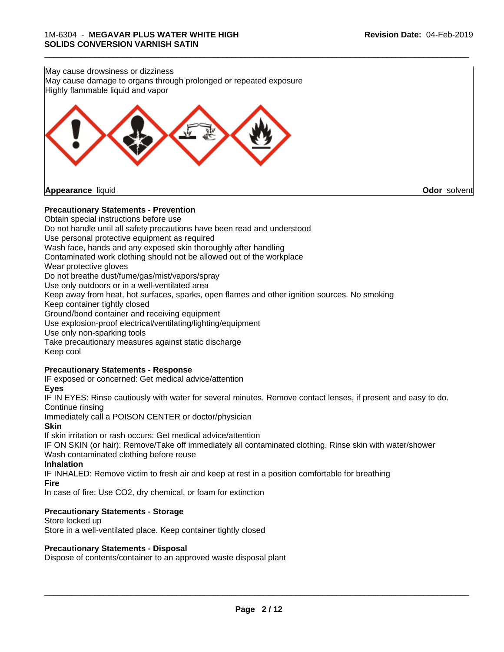

#### **Precautionary Statements - Prevention**

Obtain special instructions before use Do not handle until all safety precautions have been read and understood Use personal protective equipment as required Wash face, hands and any exposed skin thoroughly after handling Contaminated work clothing should not be allowed out of the workplace Wear protective gloves Do not breathe dust/fume/gas/mist/vapors/spray Use only outdoors or in a well-ventilated area Keep away from heat, hot surfaces, sparks, open flames and other ignition sources. No smoking Keep container tightly closed Ground/bond container and receiving equipment Use explosion-proof electrical/ventilating/lighting/equipment Use only non-sparking tools Take precautionary measures against static discharge Keep cool **Precautionary Statements - Response** IF exposed or concerned: Get medical advice/attention **Eyes**

IF IN EYES: Rinse cautiously with water for several minutes. Remove contact lenses, if present and easy to do. Continue rinsing

Immediately call a POISON CENTER or doctor/physician

#### **Skin**

If skin irritation or rash occurs: Get medical advice/attention

IF ON SKIN (or hair): Remove/Take off immediately all contaminated clothing. Rinse skin with water/shower Wash contaminated clothing before reuse

#### **Inhalation**

IF INHALED: Remove victim to fresh air and keep atrest in a position comfortable for breathing **Fire**

In case of fire: Use CO2, dry chemical, or foam for extinction

#### **Precautionary Statements - Storage**

Store locked up Store in a well-ventilated place. Keep container tightly closed

#### **Precautionary Statements - Disposal**

Dispose of contents/container to an approved waste disposal plant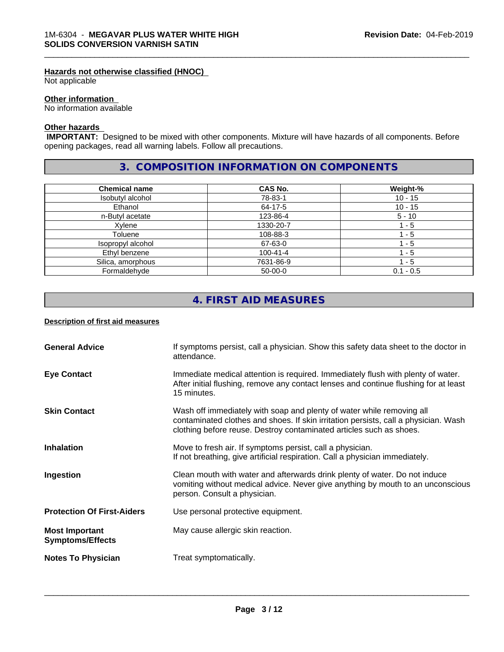#### **Hazards not otherwise classified (HNOC)**

Not applicable

#### **Other information**

No information available

#### **Other hazards**

 **IMPORTANT:** Designed to be mixed with other components. Mixture will have hazards of all components. Before opening packages, read all warning labels. Follow all precautions.

# **3. COMPOSITION INFORMATION ON COMPONENTS**

\_\_\_\_\_\_\_\_\_\_\_\_\_\_\_\_\_\_\_\_\_\_\_\_\_\_\_\_\_\_\_\_\_\_\_\_\_\_\_\_\_\_\_\_\_\_\_\_\_\_\_\_\_\_\_\_\_\_\_\_\_\_\_\_\_\_\_\_\_\_\_\_\_\_\_\_\_\_\_\_\_\_\_\_\_\_\_\_\_\_\_\_\_

| <b>Chemical name</b> | <b>CAS No.</b> | Weight-%    |
|----------------------|----------------|-------------|
| Isobutyl alcohol     | 78-83-1        | $10 - 15$   |
| Ethanol              | 64-17-5        | $10 - 15$   |
| n-Butyl acetate      | 123-86-4       | $5 - 10$    |
| Xvlene               | 1330-20-7      | $-5$        |
| Toluene              | 108-88-3       | - 5         |
| Isopropyl alcohol    | 67-63-0        | 1 - 5       |
| Ethyl benzene        | $100 - 41 - 4$ | - 5         |
| Silica, amorphous    | 7631-86-9      | - 5         |
| Formaldehyde         | $50-00-0$      | $0.1 - 0.5$ |

# **4. FIRST AID MEASURES**

#### **Description of first aid measures**

| <b>General Advice</b>                            | If symptoms persist, call a physician. Show this safety data sheet to the doctor in<br>attendance.                                                                                                                                  |
|--------------------------------------------------|-------------------------------------------------------------------------------------------------------------------------------------------------------------------------------------------------------------------------------------|
| <b>Eye Contact</b>                               | Immediate medical attention is required. Immediately flush with plenty of water.<br>After initial flushing, remove any contact lenses and continue flushing for at least<br>15 minutes.                                             |
| <b>Skin Contact</b>                              | Wash off immediately with soap and plenty of water while removing all<br>contaminated clothes and shoes. If skin irritation persists, call a physician. Wash<br>clothing before reuse. Destroy contaminated articles such as shoes. |
| <b>Inhalation</b>                                | Move to fresh air. If symptoms persist, call a physician.<br>If not breathing, give artificial respiration. Call a physician immediately.                                                                                           |
| Ingestion                                        | Clean mouth with water and afterwards drink plenty of water. Do not induce<br>vomiting without medical advice. Never give anything by mouth to an unconscious<br>person. Consult a physician.                                       |
| <b>Protection Of First-Aiders</b>                | Use personal protective equipment.                                                                                                                                                                                                  |
| <b>Most Important</b><br><b>Symptoms/Effects</b> | May cause allergic skin reaction.                                                                                                                                                                                                   |
| <b>Notes To Physician</b>                        | Treat symptomatically.                                                                                                                                                                                                              |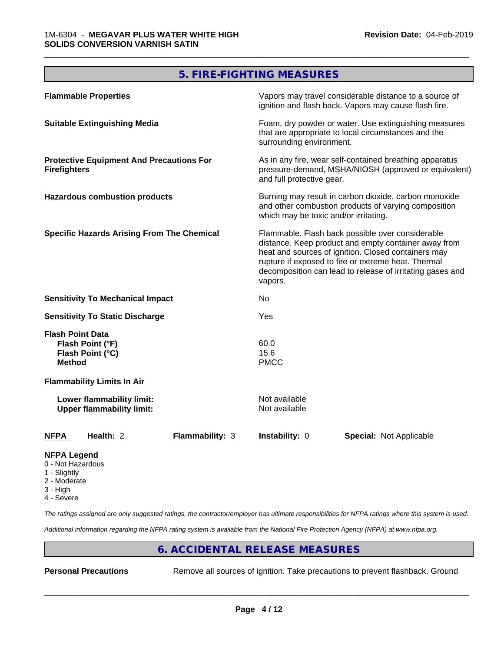# **5. FIRE-FIGHTING MEASURES**

\_\_\_\_\_\_\_\_\_\_\_\_\_\_\_\_\_\_\_\_\_\_\_\_\_\_\_\_\_\_\_\_\_\_\_\_\_\_\_\_\_\_\_\_\_\_\_\_\_\_\_\_\_\_\_\_\_\_\_\_\_\_\_\_\_\_\_\_\_\_\_\_\_\_\_\_\_\_\_\_\_\_\_\_\_\_\_\_\_\_\_\_\_

| <b>Flammable Properties</b>                                                      | Vapors may travel considerable distance to a source of<br>ignition and flash back. Vapors may cause flash fire.                                                                                                                                                                                |  |
|----------------------------------------------------------------------------------|------------------------------------------------------------------------------------------------------------------------------------------------------------------------------------------------------------------------------------------------------------------------------------------------|--|
| <b>Suitable Extinguishing Media</b>                                              | Foam, dry powder or water. Use extinguishing measures<br>that are appropriate to local circumstances and the<br>surrounding environment.                                                                                                                                                       |  |
| <b>Protective Equipment And Precautions For</b><br><b>Firefighters</b>           | As in any fire, wear self-contained breathing apparatus<br>pressure-demand, MSHA/NIOSH (approved or equivalent)<br>and full protective gear.                                                                                                                                                   |  |
| <b>Hazardous combustion products</b>                                             | Burning may result in carbon dioxide, carbon monoxide<br>and other combustion products of varying composition<br>which may be toxic and/or irritating.                                                                                                                                         |  |
| <b>Specific Hazards Arising From The Chemical</b>                                | Flammable. Flash back possible over considerable<br>distance. Keep product and empty container away from<br>heat and sources of ignition. Closed containers may<br>rupture if exposed to fire or extreme heat. Thermal<br>decomposition can lead to release of irritating gases and<br>vapors. |  |
| <b>Sensitivity To Mechanical Impact</b>                                          | No                                                                                                                                                                                                                                                                                             |  |
| <b>Sensitivity To Static Discharge</b>                                           | Yes                                                                                                                                                                                                                                                                                            |  |
| <b>Flash Point Data</b><br>Flash Point (°F)<br>Flash Point (°C)<br><b>Method</b> | 60.0<br>15.6<br><b>PMCC</b>                                                                                                                                                                                                                                                                    |  |
| <b>Flammability Limits In Air</b>                                                |                                                                                                                                                                                                                                                                                                |  |
| Lower flammability limit:<br><b>Upper flammability limit:</b>                    | Not available<br>Not available                                                                                                                                                                                                                                                                 |  |
| Health: 2<br><b>Flammability: 3</b><br><b>NFPA</b>                               | Instability: 0<br><b>Special: Not Applicable</b>                                                                                                                                                                                                                                               |  |
| <b>NFPA Legend</b><br>0 - Not Hazardous                                          |                                                                                                                                                                                                                                                                                                |  |

- 1 Slightly
- 2 Moderate
- 3 High
- 4 Severe

*The ratings assigned are only suggested ratings, the contractor/employer has ultimate responsibilities for NFPA ratings where this system is used.*

*Additional information regarding the NFPA rating system is available from the National Fire Protection Agency (NFPA) at www.nfpa.org.*

# **6. ACCIDENTAL RELEASE MEASURES**

**Personal Precautions** Remove all sources of ignition. Take precautions to prevent flashback. Ground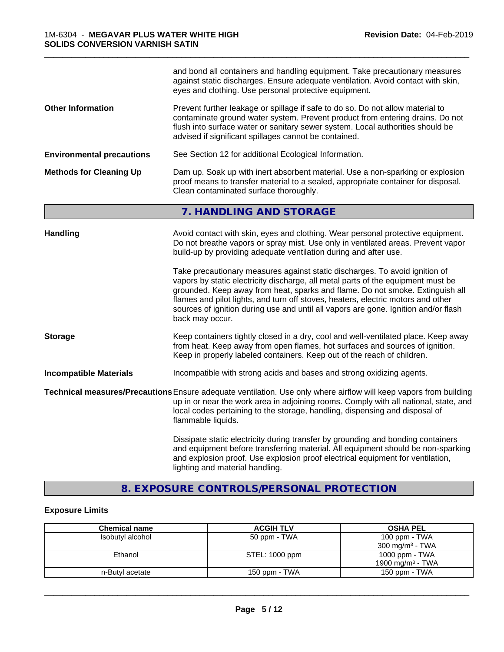|                                  | and bond all containers and handling equipment. Take precautionary measures<br>against static discharges. Ensure adequate ventilation. Avoid contact with skin,<br>eyes and clothing. Use personal protective equipment.                                                                                                                                                                                                                       |  |
|----------------------------------|------------------------------------------------------------------------------------------------------------------------------------------------------------------------------------------------------------------------------------------------------------------------------------------------------------------------------------------------------------------------------------------------------------------------------------------------|--|
| <b>Other Information</b>         | Prevent further leakage or spillage if safe to do so. Do not allow material to<br>contaminate ground water system. Prevent product from entering drains. Do not<br>flush into surface water or sanitary sewer system. Local authorities should be<br>advised if significant spillages cannot be contained.                                                                                                                                     |  |
| <b>Environmental precautions</b> | See Section 12 for additional Ecological Information.                                                                                                                                                                                                                                                                                                                                                                                          |  |
| <b>Methods for Cleaning Up</b>   | Dam up. Soak up with inert absorbent material. Use a non-sparking or explosion<br>proof means to transfer material to a sealed, appropriate container for disposal.<br>Clean contaminated surface thoroughly.                                                                                                                                                                                                                                  |  |
|                                  | 7. HANDLING AND STORAGE                                                                                                                                                                                                                                                                                                                                                                                                                        |  |
| <b>Handling</b>                  | Avoid contact with skin, eyes and clothing. Wear personal protective equipment.<br>Do not breathe vapors or spray mist. Use only in ventilated areas. Prevent vapor<br>build-up by providing adequate ventilation during and after use.                                                                                                                                                                                                        |  |
|                                  | Take precautionary measures against static discharges. To avoid ignition of<br>vapors by static electricity discharge, all metal parts of the equipment must be<br>grounded. Keep away from heat, sparks and flame. Do not smoke. Extinguish all<br>flames and pilot lights, and turn off stoves, heaters, electric motors and other<br>sources of ignition during use and until all vapors are gone. Ignition and/or flash<br>back may occur. |  |
| <b>Storage</b>                   | Keep containers tightly closed in a dry, cool and well-ventilated place. Keep away<br>from heat. Keep away from open flames, hot surfaces and sources of ignition.<br>Keep in properly labeled containers. Keep out of the reach of children.                                                                                                                                                                                                  |  |
| <b>Incompatible Materials</b>    | Incompatible with strong acids and bases and strong oxidizing agents.                                                                                                                                                                                                                                                                                                                                                                          |  |
|                                  | Technical measures/Precautions Ensure adequate ventilation. Use only where airflow will keep vapors from building<br>up in or near the work area in adjoining rooms. Comply with all national, state, and<br>local codes pertaining to the storage, handling, dispensing and disposal of<br>flammable liquids.                                                                                                                                 |  |
|                                  | Dissipate static electricity during transfer by grounding and bonding containers<br>and equipment before transferring material. All equipment should be non-sparking<br>and explosion proof. Use explosion proof electrical equipment for ventilation,<br>lighting and material handling.                                                                                                                                                      |  |

\_\_\_\_\_\_\_\_\_\_\_\_\_\_\_\_\_\_\_\_\_\_\_\_\_\_\_\_\_\_\_\_\_\_\_\_\_\_\_\_\_\_\_\_\_\_\_\_\_\_\_\_\_\_\_\_\_\_\_\_\_\_\_\_\_\_\_\_\_\_\_\_\_\_\_\_\_\_\_\_\_\_\_\_\_\_\_\_\_\_\_\_\_

# **8. EXPOSURE CONTROLS/PERSONAL PROTECTION**

# **Exposure Limits**

| <b>Chemical name</b> | <b>ACGIH TLV</b> | <b>OSHA PEL</b>              |
|----------------------|------------------|------------------------------|
| Isobutyl alcohol     | 50 ppm - TWA     | 100 ppm - TWA                |
|                      |                  | $300 \text{ mg/m}^3$ - TWA   |
| Ethanol              | STEL: 1000 ppm   | 1000 ppm - TWA               |
|                      |                  | 1900 mg/m <sup>3</sup> - TWA |
| n-Butyl acetate      | 150 ppm - TWA    | 150 ppm - TWA                |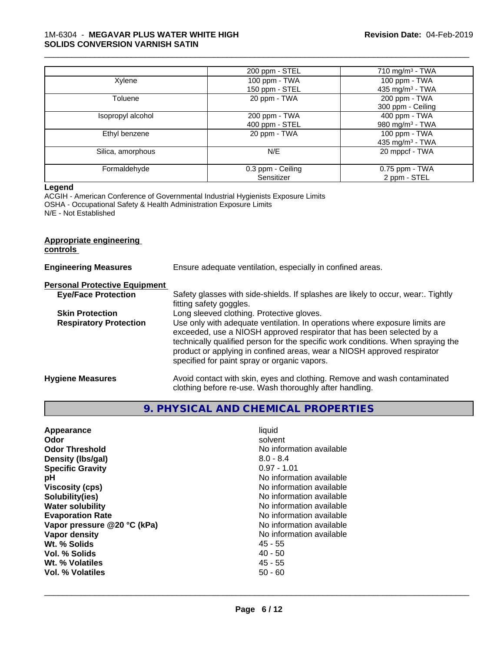#### 1M-6304 - **MEGAVAR PLUS WATER WHITE HIGH SOLIDS CONVERSION VARNISH SATIN**

|                   | 200 ppm - STEL    | 710 mg/m $3$ - TWA          |
|-------------------|-------------------|-----------------------------|
| Xylene            | $100$ ppm $-$ TWA | $100$ ppm $-$ TWA           |
|                   | 150 ppm - STEL    | 435 mg/m <sup>3</sup> - TWA |
| Toluene           | 20 ppm - TWA      | 200 ppm - TWA               |
|                   |                   | 300 ppm - Ceiling           |
| Isopropyl alcohol | 200 ppm - TWA     | 400 ppm - TWA               |
|                   | 400 ppm - STEL    | 980 mg/m $3$ - TWA          |
| Ethyl benzene     | 20 ppm - TWA      | 100 ppm - TWA               |
|                   |                   | 435 mg/m $3$ - TWA          |
| Silica, amorphous | N/E               | 20 mppcf - TWA              |
| Formaldehyde      | 0.3 ppm - Ceiling | $0.75$ ppm - TWA            |
|                   | Sensitizer        | 2 ppm - STEL                |

\_\_\_\_\_\_\_\_\_\_\_\_\_\_\_\_\_\_\_\_\_\_\_\_\_\_\_\_\_\_\_\_\_\_\_\_\_\_\_\_\_\_\_\_\_\_\_\_\_\_\_\_\_\_\_\_\_\_\_\_\_\_\_\_\_\_\_\_\_\_\_\_\_\_\_\_\_\_\_\_\_\_\_\_\_\_\_\_\_\_\_\_\_

#### **Legend**

ACGIH - American Conference of Governmental Industrial Hygienists Exposure Limits OSHA - Occupational Safety & Health Administration Exposure Limits N/E - Not Established

#### **Appropriate engineering controls**

| <b>Engineering Measures</b>          | Ensure adequate ventilation, especially in confined areas.                                                                                                                                                                                                                                                                                                          |
|--------------------------------------|---------------------------------------------------------------------------------------------------------------------------------------------------------------------------------------------------------------------------------------------------------------------------------------------------------------------------------------------------------------------|
| <b>Personal Protective Equipment</b> |                                                                                                                                                                                                                                                                                                                                                                     |
| <b>Eye/Face Protection</b>           | Safety glasses with side-shields. If splashes are likely to occur, wear:. Tightly<br>fitting safety goggles.                                                                                                                                                                                                                                                        |
| <b>Skin Protection</b>               | Long sleeved clothing. Protective gloves.                                                                                                                                                                                                                                                                                                                           |
| <b>Respiratory Protection</b>        | Use only with adequate ventilation. In operations where exposure limits are<br>exceeded, use a NIOSH approved respirator that has been selected by a<br>technically qualified person for the specific work conditions. When spraying the<br>product or applying in confined areas, wear a NIOSH approved respirator<br>specified for paint spray or organic vapors. |
| <b>Hygiene Measures</b>              | Avoid contact with skin, eyes and clothing. Remove and wash contaminated<br>clothing before re-use. Wash thoroughly after handling.                                                                                                                                                                                                                                 |

# **9. PHYSICAL AND CHEMICAL PROPERTIES**

| Appearance<br>Odor<br><b>Odor Threshold</b><br>Density (Ibs/gal)<br><b>Specific Gravity</b><br>рH<br><b>Viscosity (cps)</b><br>Solubility(ies)<br><b>Water solubility</b><br><b>Evaporation Rate</b><br>Vapor pressure @20 °C (kPa)<br>Vapor density<br>Wt. % Solids<br>Vol. % Solids | liquid<br>solvent<br>No information available<br>$8.0 - 8.4$<br>$0.97 - 1.01$<br>No information available<br>No information available<br>No information available<br>No information available<br>No information available<br>No information available<br>No information available<br>45 - 55<br>$40 - 50$ |
|---------------------------------------------------------------------------------------------------------------------------------------------------------------------------------------------------------------------------------------------------------------------------------------|-----------------------------------------------------------------------------------------------------------------------------------------------------------------------------------------------------------------------------------------------------------------------------------------------------------|
| Wt. % Volatiles                                                                                                                                                                                                                                                                       | $45 - 55$                                                                                                                                                                                                                                                                                                 |
| Vol. % Volatiles                                                                                                                                                                                                                                                                      | $50 - 60$                                                                                                                                                                                                                                                                                                 |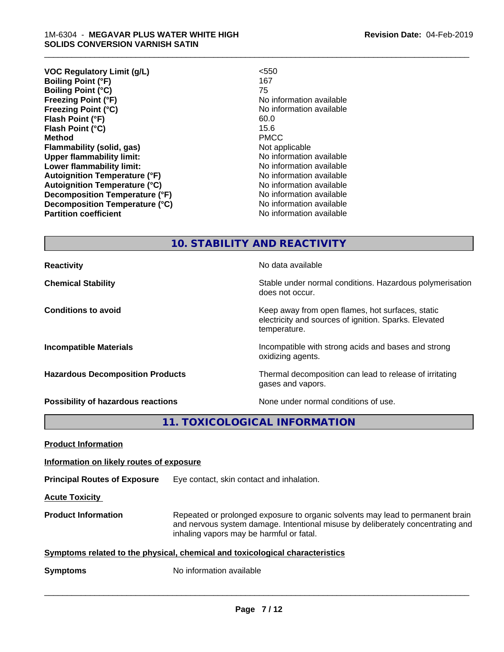| < 550                    |
|--------------------------|
| 167                      |
| 75                       |
| No information available |
| No information available |
| 60.0                     |
| 15.6                     |
| <b>PMCC</b>              |
| Not applicable           |
| No information available |
| No information available |
| No information available |
| No information available |
| No information available |
| No information available |
| No information available |
|                          |

\_\_\_\_\_\_\_\_\_\_\_\_\_\_\_\_\_\_\_\_\_\_\_\_\_\_\_\_\_\_\_\_\_\_\_\_\_\_\_\_\_\_\_\_\_\_\_\_\_\_\_\_\_\_\_\_\_\_\_\_\_\_\_\_\_\_\_\_\_\_\_\_\_\_\_\_\_\_\_\_\_\_\_\_\_\_\_\_\_\_\_\_\_

### **10. STABILITY AND REACTIVITY**

does not occur.

temperature.

oxidizing agents.

gases and vapors.

electricity and sources of ignition. Sparks. Elevated

**Reactivity No data available Chemical Stability Stability** Stable under normal conditions. Hazardous polymerisation

**Conditions to avoid Keep away from open flames, hot surfaces, static conditions to avoid** 

**Incompatible Materials Incompatible with strong acids and bases and strong** 

**Hazardous Decomposition Products** Thermal decomposition can lead to release of irritating

**Possibility of hazardous reactions** None under normal conditions of use.

**11. TOXICOLOGICAL INFORMATION**

**Product Information**

**Information on likely routes of exposure**

**Principal Routes of Exposure** Eye contact, skin contact and inhalation.

**Acute Toxicity** 

**Product Information** Repeated or prolonged exposure to organic solvents may lead to permanent brain and nervous system damage. Intentional misuse by deliberately concentrating and inhaling vapors may be harmful or fatal.

 $\overline{\phantom{a}}$  ,  $\overline{\phantom{a}}$  ,  $\overline{\phantom{a}}$  ,  $\overline{\phantom{a}}$  ,  $\overline{\phantom{a}}$  ,  $\overline{\phantom{a}}$  ,  $\overline{\phantom{a}}$  ,  $\overline{\phantom{a}}$  ,  $\overline{\phantom{a}}$  ,  $\overline{\phantom{a}}$  ,  $\overline{\phantom{a}}$  ,  $\overline{\phantom{a}}$  ,  $\overline{\phantom{a}}$  ,  $\overline{\phantom{a}}$  ,  $\overline{\phantom{a}}$  ,  $\overline{\phantom{a}}$ 

**Symptoms** related to the physical, chemical and toxicological characteristics

**Symptoms** No information available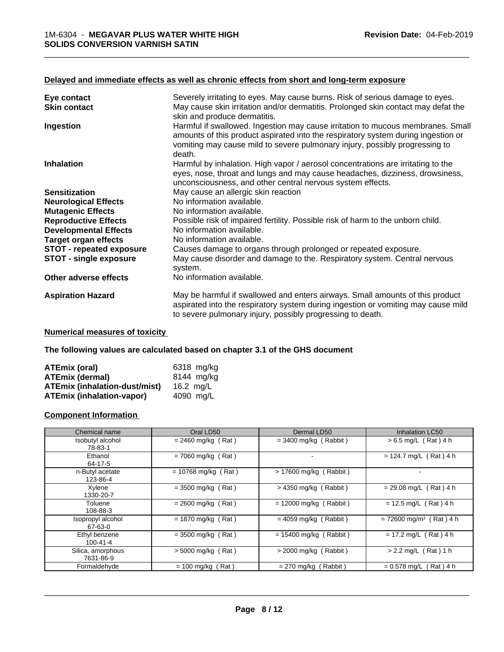#### **Delayed and immediate effects as well as chronic effects from short and long-term exposure**

| Eye contact                     | Severely irritating to eyes. May cause burns. Risk of serious damage to eyes.                                                                                                                                                    |
|---------------------------------|----------------------------------------------------------------------------------------------------------------------------------------------------------------------------------------------------------------------------------|
| <b>Skin contact</b>             | May cause skin irritation and/or dermatitis. Prolonged skin contact may defat the<br>skin and produce dermatitis.                                                                                                                |
| Ingestion                       | Harmful if swallowed. Ingestion may cause irritation to mucous membranes. Small<br>amounts of this product aspirated into the respiratory system during ingestion or                                                             |
|                                 | vomiting may cause mild to severe pulmonary injury, possibly progressing to<br>death.                                                                                                                                            |
| <b>Inhalation</b>               | Harmful by inhalation. High vapor / aerosol concentrations are irritating to the<br>eyes, nose, throat and lungs and may cause headaches, dizziness, drowsiness,<br>unconsciousness, and other central nervous system effects.   |
| <b>Sensitization</b>            | May cause an allergic skin reaction                                                                                                                                                                                              |
| <b>Neurological Effects</b>     | No information available.                                                                                                                                                                                                        |
| <b>Mutagenic Effects</b>        | No information available.                                                                                                                                                                                                        |
| <b>Reproductive Effects</b>     | Possible risk of impaired fertility. Possible risk of harm to the unborn child.                                                                                                                                                  |
| <b>Developmental Effects</b>    | No information available.                                                                                                                                                                                                        |
| <b>Target organ effects</b>     | No information available.                                                                                                                                                                                                        |
| <b>STOT - repeated exposure</b> | Causes damage to organs through prolonged or repeated exposure.                                                                                                                                                                  |
| <b>STOT - single exposure</b>   | May cause disorder and damage to the. Respiratory system. Central nervous<br>system.                                                                                                                                             |
| Other adverse effects           | No information available.                                                                                                                                                                                                        |
| <b>Aspiration Hazard</b>        | May be harmful if swallowed and enters airways. Small amounts of this product<br>aspirated into the respiratory system during ingestion or vomiting may cause mild<br>to severe pulmonary injury, possibly progressing to death. |

#### **Numerical measures of toxicity**

**The following values are calculated based on chapter 3.1 of the GHS document**

| ATEmix (oral)                        | 6318 mg/kg |
|--------------------------------------|------------|
| <b>ATEmix (dermal)</b>               | 8144 mg/ka |
| <b>ATEmix (inhalation-dust/mist)</b> | 16.2 ma/L  |
| <b>ATEmix (inhalation-vapor)</b>     | 4090 ma/L  |

### **Component Information**

| Chemical name                  | Oral LD50             | Dermal LD50              | Inhalation LC50                       |
|--------------------------------|-----------------------|--------------------------|---------------------------------------|
| Isobutyl alcohol<br>78-83-1    | $= 2460$ mg/kg (Rat)  | $=$ 3400 mg/kg (Rabbit)  | $> 6.5$ mg/L (Rat) 4 h                |
| Ethanol<br>64-17-5             | $= 7060$ mg/kg (Rat)  | ۰                        | $= 124.7$ mg/L (Rat) 4 h              |
| n-Butyl acetate<br>123-86-4    | $= 10768$ mg/kg (Rat) | > 17600 mg/kg (Rabbit)   |                                       |
| Xylene<br>1330-20-7            | $= 3500$ mg/kg (Rat)  | $>$ 4350 mg/kg (Rabbit)  | $= 29.08$ mg/L (Rat) 4 h              |
| Toluene<br>108-88-3            | $= 2600$ mg/kg (Rat)  | $= 12000$ mg/kg (Rabbit) | $= 12.5$ mg/L (Rat) 4 h               |
| Isopropyl alcohol<br>67-63-0   | $= 1870$ mg/kg (Rat)  | $= 4059$ mg/kg (Rabbit)  | $= 72600$ mg/m <sup>3</sup> (Rat) 4 h |
| Ethyl benzene<br>100-41-4      | $= 3500$ mg/kg (Rat)  | $= 15400$ mg/kg (Rabbit) | $= 17.2$ mg/L (Rat) 4 h               |
| Silica, amorphous<br>7631-86-9 | $>$ 5000 mg/kg (Rat)  | $>$ 2000 mg/kg (Rabbit)  | $> 2.2$ mg/L (Rat) 1 h                |
| Formaldehyde                   | $= 100$ mg/kg (Rat)   | $= 270$ mg/kg (Rabbit)   | $= 0.578$ mg/L (Rat) 4 h              |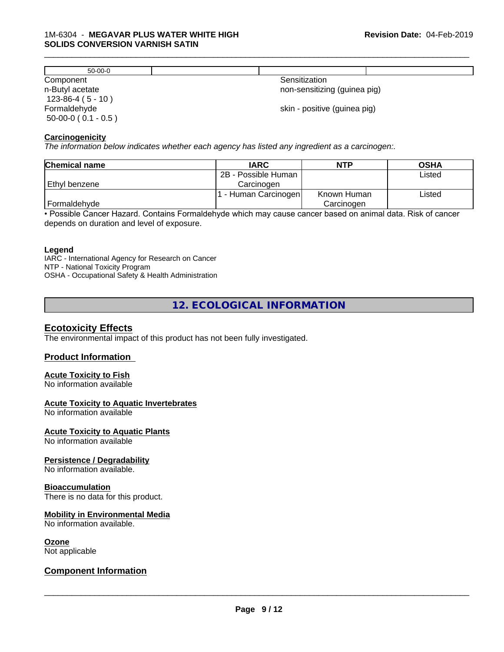| $50-00-0$                                 |                              |
|-------------------------------------------|------------------------------|
| Component                                 | Sensitization                |
| n-Butyl acetate<br>$123-86-4(5-10)$       | non-sensitizing (guinea pig) |
| Formaldehyde<br>$50-00-0$ ( $0.1 - 0.5$ ) | skin - positive (guinea pig) |

\_\_\_\_\_\_\_\_\_\_\_\_\_\_\_\_\_\_\_\_\_\_\_\_\_\_\_\_\_\_\_\_\_\_\_\_\_\_\_\_\_\_\_\_\_\_\_\_\_\_\_\_\_\_\_\_\_\_\_\_\_\_\_\_\_\_\_\_\_\_\_\_\_\_\_\_\_\_\_\_\_\_\_\_\_\_\_\_\_\_\_\_\_

#### **Carcinogenicity**

*The information below indicateswhether each agency has listed any ingredient as a carcinogen:.*

| <b>Chemical name</b> | <b>IARC</b>         | <b>NTP</b>  | <b>OSHA</b> |
|----------------------|---------------------|-------------|-------------|
|                      | 2B - Possible Human |             | Listed      |
| Ethyl benzene        | Carcinoɑen          |             |             |
|                      | - Human Carcinogen  | Known Human | Listed      |
| Formaldehyde         |                     | Carcinogen  |             |

• Possible Cancer Hazard. Contains Formaldehyde which may cause cancer based on animal data. Risk of cancer depends on duration and level of exposure.

#### **Legend**

IARC - International Agency for Research on Cancer NTP - National Toxicity Program OSHA - Occupational Safety & Health Administration

**12. ECOLOGICAL INFORMATION**

#### **Ecotoxicity Effects**

The environmental impact of this product has not been fully investigated.

#### **Product Information**

#### **Acute Toxicity to Fish**

No information available

#### **Acute Toxicity to Aquatic Invertebrates**

No information available

#### **Acute Toxicity to Aquatic Plants**

No information available

#### **Persistence / Degradability**

No information available.

#### **Bioaccumulation**

There is no data for this product.

#### **Mobility in Environmental Media**

No information available.

#### **Ozone**

Not applicable

#### **Component Information**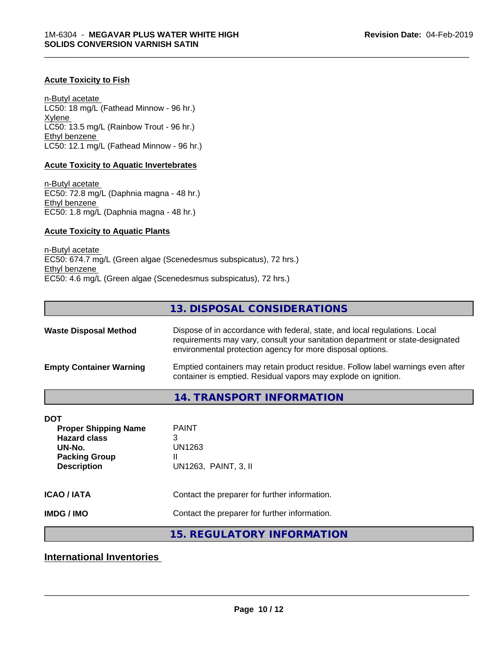#### **Acute Toxicity to Fish**

n-Butyl acetate LC50: 18 mg/L (Fathead Minnow - 96 hr.) Xylene LC50: 13.5 mg/L (Rainbow Trout - 96 hr.) Ethyl benzene LC50: 12.1 mg/L (Fathead Minnow - 96 hr.)

#### **Acute Toxicity to Aquatic Invertebrates**

n-Butyl acetate EC50: 72.8 mg/L (Daphnia magna - 48 hr.) Ethyl benzene EC50: 1.8 mg/L (Daphnia magna - 48 hr.)

#### **Acute Toxicity to Aquatic Plants**

n-Butyl acetate EC50: 674.7 mg/L (Green algae (Scenedesmus subspicatus), 72 hrs.) Ethyl benzene EC50: 4.6 mg/L (Green algae (Scenedesmus subspicatus), 72 hrs.)

# **13. DISPOSAL CONSIDERATIONS**

\_\_\_\_\_\_\_\_\_\_\_\_\_\_\_\_\_\_\_\_\_\_\_\_\_\_\_\_\_\_\_\_\_\_\_\_\_\_\_\_\_\_\_\_\_\_\_\_\_\_\_\_\_\_\_\_\_\_\_\_\_\_\_\_\_\_\_\_\_\_\_\_\_\_\_\_\_\_\_\_\_\_\_\_\_\_\_\_\_\_\_\_\_

| <b>Waste Disposal Method</b>   | Dispose of in accordance with federal, state, and local regulations. Local<br>requirements may vary, consult your sanitation department or state-designated<br>environmental protection agency for more disposal options. |
|--------------------------------|---------------------------------------------------------------------------------------------------------------------------------------------------------------------------------------------------------------------------|
| <b>Empty Container Warning</b> | Emptied containers may retain product residue. Follow label warnings even after<br>container is emptied. Residual vapors may explode on ignition.                                                                         |

# **14. TRANSPORT INFORMATION**

| DOT<br><b>Proper Shipping Name</b><br><b>Hazard class</b><br>UN-No.<br><b>Packing Group</b><br><b>Description</b> | <b>PAINT</b><br>3<br>UN1263<br>Ш<br>UN1263, PAINT, 3, II |
|-------------------------------------------------------------------------------------------------------------------|----------------------------------------------------------|
| <b>ICAO / IATA</b>                                                                                                | Contact the preparer for further information.            |
| <b>IMDG/IMO</b>                                                                                                   | Contact the preparer for further information.            |

# **15. REGULATORY INFORMATION**

**International Inventories**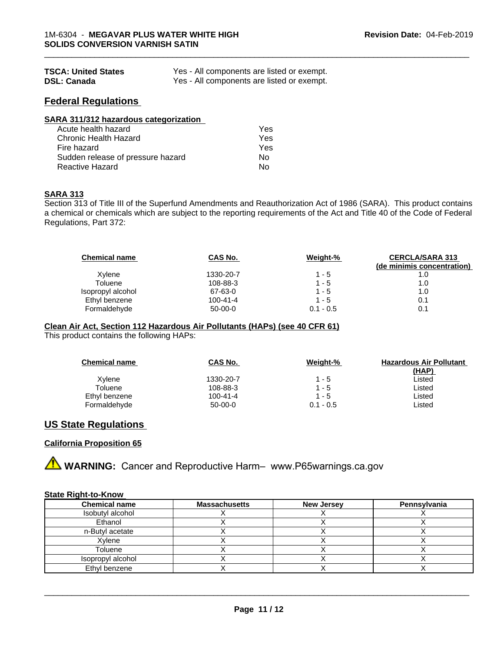| <b>TSCA: United States</b> | Yes - All components are listed or exempt. |
|----------------------------|--------------------------------------------|
| <b>DSL: Canada</b>         | Yes - All components are listed or exempt. |

### **Federal Regulations**

| SARA 311/312 hazardous categorization |     |  |
|---------------------------------------|-----|--|
| Acute health hazard                   | Yes |  |
| Chronic Health Hazard                 | Yes |  |
| Fire hazard                           | Yes |  |
| Sudden release of pressure hazard     | No  |  |
| <b>Reactive Hazard</b>                | No  |  |

#### **SARA 313**

Section 313 of Title III of the Superfund Amendments and Reauthorization Act of 1986 (SARA). This product contains a chemical or chemicals which are subject to the reporting requirements of the Act and Title 40 of the Code of Federal Regulations, Part 372:

| <b>Chemical name</b> | CAS No.   | Weight-%    | <b>CERCLA/SARA 313</b><br>(de minimis concentration) |
|----------------------|-----------|-------------|------------------------------------------------------|
| Xylene               | 1330-20-7 | 1 - 5       | 1.0                                                  |
| Toluene              | 108-88-3  | $1 - 5$     | 1.0                                                  |
| Isopropyl alcohol    | 67-63-0   | $1 - 5$     | 1.0                                                  |
| Ethyl benzene        | 100-41-4  | $1 - 5$     | 0.1                                                  |
| Formaldehyde         | $50-00-0$ | $0.1 - 0.5$ | 0.1                                                  |

\_\_\_\_\_\_\_\_\_\_\_\_\_\_\_\_\_\_\_\_\_\_\_\_\_\_\_\_\_\_\_\_\_\_\_\_\_\_\_\_\_\_\_\_\_\_\_\_\_\_\_\_\_\_\_\_\_\_\_\_\_\_\_\_\_\_\_\_\_\_\_\_\_\_\_\_\_\_\_\_\_\_\_\_\_\_\_\_\_\_\_\_\_

#### **Clean Air Act,Section 112 Hazardous Air Pollutants (HAPs) (see 40 CFR 61)**

This product contains the following HAPs:

| <b>Chemical name</b> | CAS No.        | Weight-%    | <b>Hazardous Air Pollutant</b> |
|----------------------|----------------|-------------|--------------------------------|
|                      |                |             | (HAP)                          |
| Xylene               | 1330-20-7      | $1 - 5$     | Listed                         |
| Toluene              | 108-88-3       | $1 - 5$     | Listed                         |
| Ethyl benzene        | $100 - 41 - 4$ | $1 - 5$     | Listed                         |
| Formaldehyde         | $50-00-0$      | $0.1 - 0.5$ | ∟isted                         |

#### **US State Regulations**

#### **California Proposition 65**

**A WARNING:** Cancer and Reproductive Harm– www.P65warnings.ca.gov

#### **State Right-to-Know**

| <b>Chemical name</b> | <b>Massachusetts</b> | <b>New Jersey</b> | Pennsylvania |
|----------------------|----------------------|-------------------|--------------|
| Isobutyl alcohol     |                      |                   |              |
| Ethanol              |                      |                   |              |
| n-Butyl acetate      |                      |                   |              |
| Xylene               |                      |                   |              |
| Toluene              |                      |                   |              |
| Isopropyl alcohol    |                      |                   |              |
| Ethyl benzene        |                      |                   |              |